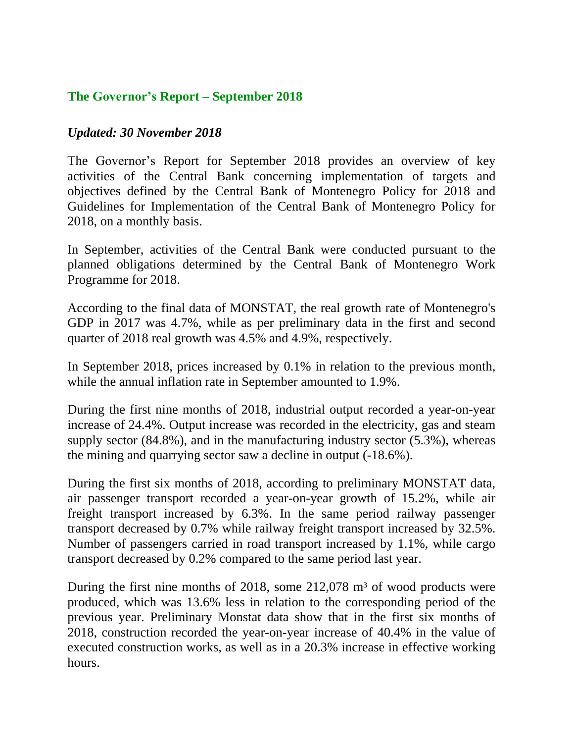## **The Governor's Report – September 2018**

## *Updated: 30 November 2018*

The Governor's Report for September 2018 provides an overview of key activities of the Central Bank concerning implementation of targets and objectives defined by the Central Bank of Montenegro Policy for 2018 and Guidelines for Implementation of the Central Bank of Montenegro Policy for 2018, on a monthly basis.

In September, activities of the Central Bank were conducted pursuant to the planned obligations determined by the Central Bank of Montenegro Work Programme for 2018.

According to the final data of MONSTAT, the real growth rate of Montenegro's GDP in 2017 was 4.7%, while as per preliminary data in the first and second quarter of 2018 real growth was 4.5% and 4.9%, respectively.

In September 2018, prices increased by 0.1% in relation to the previous month, while the annual inflation rate in September amounted to 1.9%.

During the first nine months of 2018, industrial output recorded a year-on-year increase of 24.4%. Output increase was recorded in the electricity, gas and steam supply sector (84.8%), and in the manufacturing industry sector (5.3%), whereas the mining and quarrying sector saw a decline in output (-18.6%).

During the first six months of 2018, according to preliminary MONSTAT data, air passenger transport recorded a year-on-year growth of 15.2%, while air freight transport increased by 6.3%. In the same period railway passenger transport decreased by 0.7% while railway freight transport increased by 32.5%. Number of passengers carried in road transport increased by 1.1%, while cargo transport decreased by 0.2% compared to the same period last year.

During the first nine months of 2018, some  $212,078$  m<sup>3</sup> of wood products were produced, which was 13.6% less in relation to the corresponding period of the previous year. Preliminary Monstat data show that in the first six months of 2018, construction recorded the year-on-year increase of 40.4% in the value of executed construction works, as well as in a 20.3% increase in effective working hours.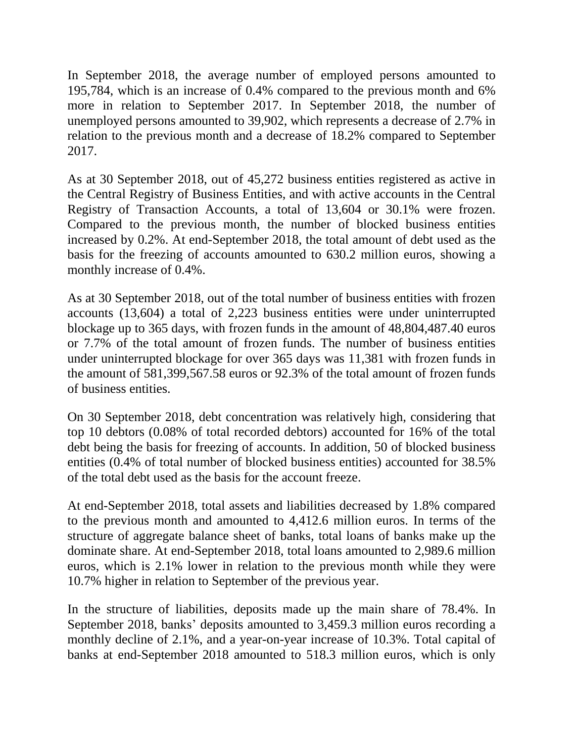In September 2018, the average number of employed persons amounted to 195,784, which is an increase of 0.4% compared to the previous month and 6% more in relation to September 2017. In September 2018, the number of unemployed persons amounted to 39,902, which represents a decrease of 2.7% in relation to the previous month and a decrease of 18.2% compared to September 2017.

As at 30 September 2018, out of 45,272 business entities registered as active in the Central Registry of Business Entities, and with active accounts in the Central Registry of Transaction Accounts, a total of 13,604 or 30.1% were frozen. Compared to the previous month, the number of blocked business entities increased by 0.2%. At end-September 2018, the total amount of debt used as the basis for the freezing of accounts amounted to 630.2 million euros, showing a monthly increase of 0.4%.

As at 30 September 2018, out of the total number of business entities with frozen accounts (13,604) a total of 2,223 business entities were under uninterrupted blockage up to 365 days, with frozen funds in the amount of 48,804,487.40 euros or 7.7% of the total amount of frozen funds. The number of business entities under uninterrupted blockage for over 365 days was 11,381 with frozen funds in the amount of 581,399,567.58 euros or 92.3% of the total amount of frozen funds of business entities.

On 30 September 2018, debt concentration was relatively high, considering that top 10 debtors (0.08% of total recorded debtors) accounted for 16% of the total debt being the basis for freezing of accounts. In addition, 50 of blocked business entities (0.4% of total number of blocked business entities) accounted for 38.5% of the total debt used as the basis for the account freeze.

At end-September 2018, total assets and liabilities decreased by 1.8% compared to the previous month and amounted to 4,412.6 million euros. In terms of the structure of aggregate balance sheet of banks, total loans of banks make up the dominate share. At end-September 2018, total loans amounted to 2,989.6 million euros, which is 2.1% lower in relation to the previous month while they were 10.7% higher in relation to September of the previous year.

In the structure of liabilities, deposits made up the main share of 78.4%. In September 2018, banks' deposits amounted to 3,459.3 million euros recording a monthly decline of 2.1%, and a year-on-year increase of 10.3%. Total capital of banks at end-September 2018 amounted to 518.3 million euros, which is only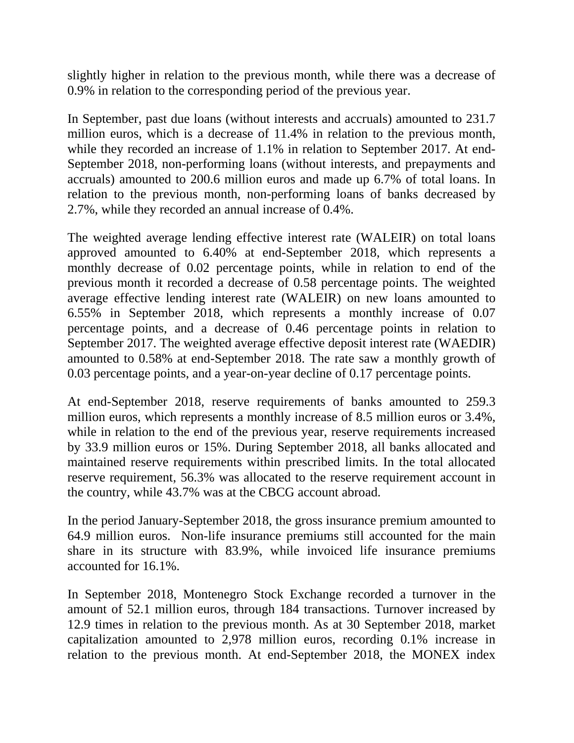slightly higher in relation to the previous month, while there was a decrease of 0.9% in relation to the corresponding period of the previous year.

In September, past due loans (without interests and accruals) amounted to 231.7 million euros, which is a decrease of 11.4% in relation to the previous month, while they recorded an increase of 1.1% in relation to September 2017. At end-September 2018, non-performing loans (without interests, and prepayments and accruals) amounted to 200.6 million euros and made up 6.7% of total loans. In relation to the previous month, non-performing loans of banks decreased by 2.7%, while they recorded an annual increase of 0.4%.

The weighted average lending effective interest rate (WALEIR) on total loans approved amounted to 6.40% at end-September 2018, which represents a monthly decrease of 0.02 percentage points, while in relation to end of the previous month it recorded a decrease of 0.58 percentage points. The weighted average effective lending interest rate (WALEIR) on new loans amounted to 6.55% in September 2018, which represents a monthly increase of 0.07 percentage points, and a decrease of 0.46 percentage points in relation to September 2017. The weighted average effective deposit interest rate (WAEDIR) amounted to 0.58% at end-September 2018. The rate saw a monthly growth of 0.03 percentage points, and a year-on-year decline of 0.17 percentage points.

At end-September 2018, reserve requirements of banks amounted to 259.3 million euros, which represents a monthly increase of 8.5 million euros or 3.4%, while in relation to the end of the previous year, reserve requirements increased by 33.9 million euros or 15%. During September 2018, all banks allocated and maintained reserve requirements within prescribed limits. In the total allocated reserve requirement, 56.3% was allocated to the reserve requirement account in the country, while 43.7% was at the CBCG account abroad.

In the period January-September 2018, the gross insurance premium amounted to 64.9 million euros. Non-life insurance premiums still accounted for the main share in its structure with 83.9%, while invoiced life insurance premiums accounted for 16.1%.

In September 2018, Montenegro Stock Exchange recorded a turnover in the amount of 52.1 million euros, through 184 transactions. Turnover increased by 12.9 times in relation to the previous month. As at 30 September 2018, market capitalization amounted to 2,978 million euros, recording 0.1% increase in relation to the previous month. At end-September 2018, the MONEX index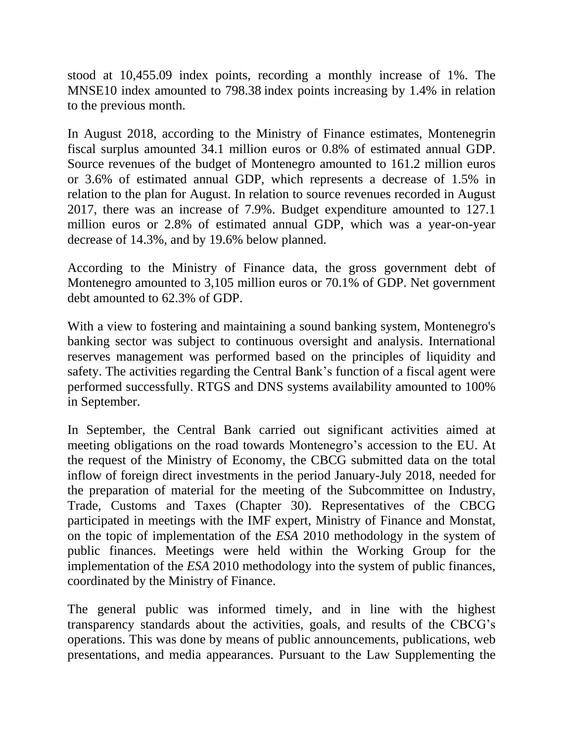stood at 10,455.09 index points, recording a monthly increase of 1%. The MNSE10 index amounted to 798.38 index points increasing by 1.4% in relation to the previous month.

In August 2018, according to the Ministry of Finance estimates, Montenegrin fiscal surplus amounted 34.1 million euros or 0.8% of estimated annual GDP. Source revenues of the budget of Montenegro amounted to 161.2 million euros or 3.6% of estimated annual GDP, which represents a decrease of 1.5% in relation to the plan for August. In relation to source revenues recorded in August 2017, there was an increase of 7.9%. Budget expenditure amounted to 127.1 million euros or 2.8% of estimated annual GDP, which was a year-on-year decrease of 14.3%, and by 19.6% below planned.

According to the Ministry of Finance data, the gross government debt of Montenegro amounted to 3,105 million euros or 70.1% of GDP. Net government debt amounted to 62.3% of GDP.

With a view to fostering and maintaining a sound banking system, Montenegro's banking sector was subject to continuous oversight and analysis. International reserves management was performed based on the principles of liquidity and safety. The activities regarding the Central Bank's function of a fiscal agent were performed successfully. RTGS and DNS systems availability amounted to 100% in September.

In September, the Central Bank carried out significant activities aimed at meeting obligations on the road towards Montenegro's accession to the EU. At the request of the Ministry of Economy, the CBCG submitted data on the total inflow of foreign direct investments in the period January-July 2018, needed for the preparation of material for the meeting of the Subcommittee on Industry, Trade, Customs and Taxes (Chapter 30). Representatives of the CBCG participated in meetings with the IMF expert, Ministry of Finance and Monstat, on the topic of implementation of the *ESA* 2010 methodology in the system of public finances. Meetings were held within the Working Group for the implementation of the *ESA* 2010 methodology into the system of public finances, coordinated by the Ministry of Finance.

The general public was informed timely, and in line with the highest transparency standards about the activities, goals, and results of the CBCG's operations. This was done by means of public announcements, publications, web presentations, and media appearances. Pursuant to the Law Supplementing the